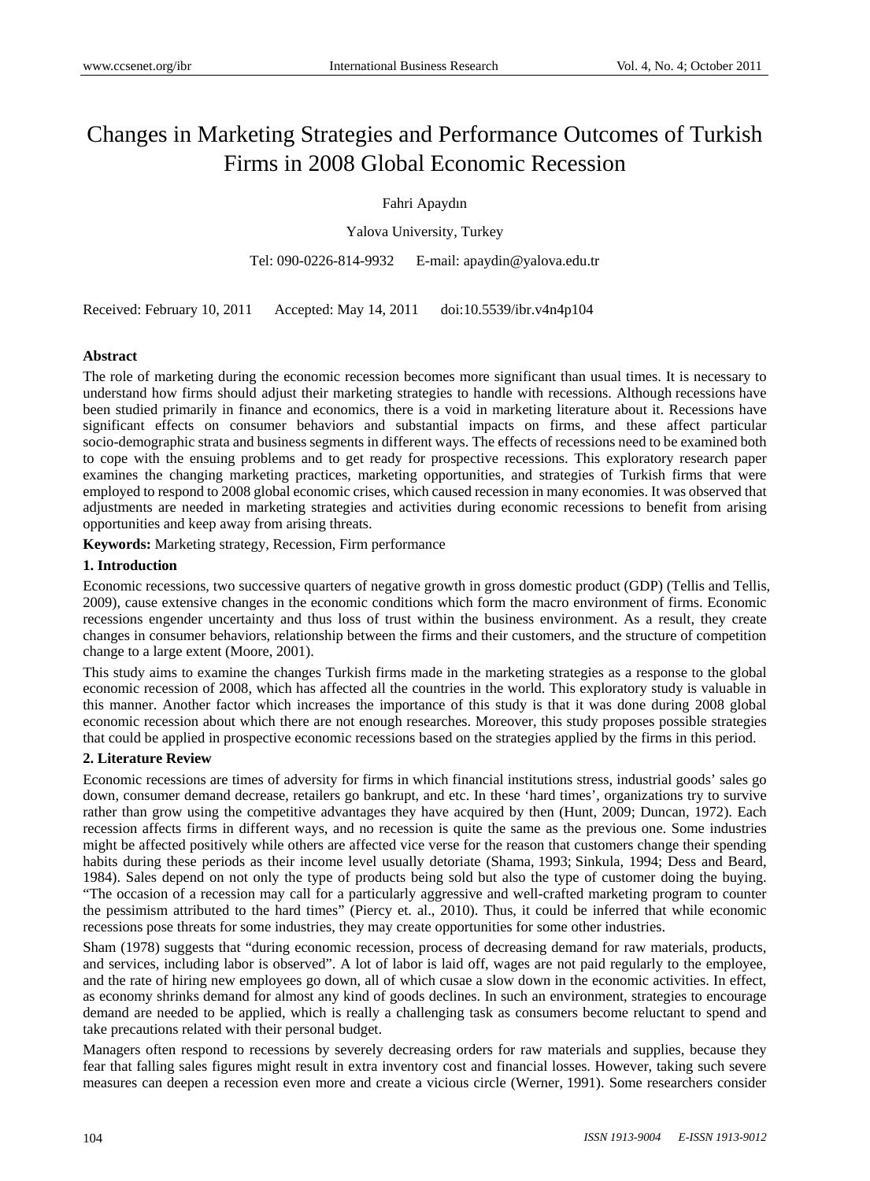# Changes in Marketing Strategies and Performance Outcomes of Turkish Firms in 2008 Global Economic Recession

Fahri Apaydın

Yalova University, Turkey

Tel: 090-0226-814-9932 E-mail: apaydin@yalova.edu.tr

Received: February 10, 2011 Accepted: May 14, 2011 doi:10.5539/ibr.v4n4p104

#### **Abstract**

The role of marketing during the economic recession becomes more significant than usual times. It is necessary to understand how firms should adjust their marketing strategies to handle with recessions. Although recessions have been studied primarily in finance and economics, there is a void in marketing literature about it. Recessions have significant effects on consumer behaviors and substantial impacts on firms, and these affect particular socio-demographic strata and business segments in different ways. The effects of recessions need to be examined both to cope with the ensuing problems and to get ready for prospective recessions. This exploratory research paper examines the changing marketing practices, marketing opportunities, and strategies of Turkish firms that were employed to respond to 2008 global economic crises, which caused recession in many economies. It was observed that adjustments are needed in marketing strategies and activities during economic recessions to benefit from arising opportunities and keep away from arising threats.

**Keywords:** Marketing strategy, Recession, Firm performance

#### **1. Introduction**

Economic recessions, two successive quarters of negative growth in gross domestic product (GDP) (Tellis and Tellis, 2009), cause extensive changes in the economic conditions which form the macro environment of firms. Economic recessions engender uncertainty and thus loss of trust within the business environment. As a result, they create changes in consumer behaviors, relationship between the firms and their customers, and the structure of competition change to a large extent (Moore, 2001).

This study aims to examine the changes Turkish firms made in the marketing strategies as a response to the global economic recession of 2008, which has affected all the countries in the world. This exploratory study is valuable in this manner. Another factor which increases the importance of this study is that it was done during 2008 global economic recession about which there are not enough researches. Moreover, this study proposes possible strategies that could be applied in prospective economic recessions based on the strategies applied by the firms in this period.

#### **2. Literature Review**

Economic recessions are times of adversity for firms in which financial institutions stress, industrial goods' sales go down, consumer demand decrease, retailers go bankrupt, and etc. In these 'hard times', organizations try to survive rather than grow using the competitive advantages they have acquired by then (Hunt, 2009; Duncan, 1972). Each recession affects firms in different ways, and no recession is quite the same as the previous one. Some industries might be affected positively while others are affected vice verse for the reason that customers change their spending habits during these periods as their income level usually detoriate (Shama, 1993; Sinkula, 1994; Dess and Beard, 1984). Sales depend on not only the type of products being sold but also the type of customer doing the buying. "The occasion of a recession may call for a particularly aggressive and well-crafted marketing program to counter the pessimism attributed to the hard times" (Piercy et. al., 2010). Thus, it could be inferred that while economic recessions pose threats for some industries, they may create opportunities for some other industries.

Sham (1978) suggests that "during economic recession, process of decreasing demand for raw materials, products, and services, including labor is observed". A lot of labor is laid off, wages are not paid regularly to the employee, and the rate of hiring new employees go down, all of which cusae a slow down in the economic activities. In effect, as economy shrinks demand for almost any kind of goods declines. In such an environment, strategies to encourage demand are needed to be applied, which is really a challenging task as consumers become reluctant to spend and take precautions related with their personal budget.

Managers often respond to recessions by severely decreasing orders for raw materials and supplies, because they fear that falling sales figures might result in extra inventory cost and financial losses. However, taking such severe measures can deepen a recession even more and create a vicious circle (Werner, 1991). Some researchers consider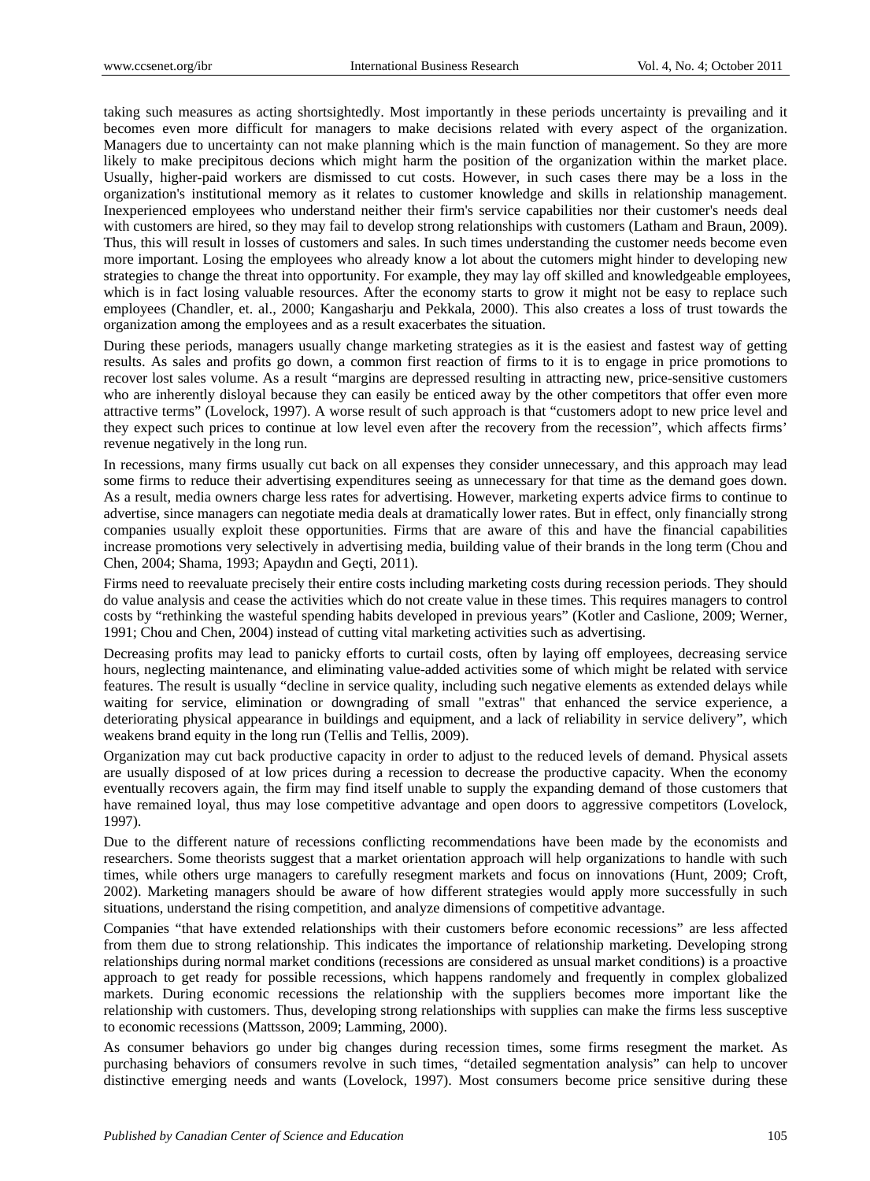taking such measures as acting shortsightedly. Most importantly in these periods uncertainty is prevailing and it becomes even more difficult for managers to make decisions related with every aspect of the organization. Managers due to uncertainty can not make planning which is the main function of management. So they are more likely to make precipitous decions which might harm the position of the organization within the market place. Usually, higher-paid workers are dismissed to cut costs. However, in such cases there may be a loss in the organization's institutional memory as it relates to customer knowledge and skills in relationship management. Inexperienced employees who understand neither their firm's service capabilities nor their customer's needs deal with customers are hired, so they may fail to develop strong relationships with customers (Latham and Braun, 2009). Thus, this will result in losses of customers and sales. In such times understanding the customer needs become even more important. Losing the employees who already know a lot about the cutomers might hinder to developing new strategies to change the threat into opportunity. For example, they may lay off skilled and knowledgeable employees, which is in fact losing valuable resources. After the economy starts to grow it might not be easy to replace such employees (Chandler, et. al., 2000; Kangasharju and Pekkala, 2000). This also creates a loss of trust towards the organization among the employees and as a result exacerbates the situation.

During these periods, managers usually change marketing strategies as it is the easiest and fastest way of getting results. As sales and profits go down, a common first reaction of firms to it is to engage in price promotions to recover lost sales volume. As a result "margins are depressed resulting in attracting new, price-sensitive customers who are inherently disloyal because they can easily be enticed away by the other competitors that offer even more attractive terms" (Lovelock, 1997). A worse result of such approach is that "customers adopt to new price level and they expect such prices to continue at low level even after the recovery from the recession", which affects firms' revenue negatively in the long run.

In recessions, many firms usually cut back on all expenses they consider unnecessary, and this approach may lead some firms to reduce their advertising expenditures seeing as unnecessary for that time as the demand goes down. As a result, media owners charge less rates for advertising. However, marketing experts advice firms to continue to advertise, since managers can negotiate media deals at dramatically lower rates. But in effect, only financially strong companies usually exploit these opportunities. Firms that are aware of this and have the financial capabilities increase promotions very selectively in advertising media, building value of their brands in the long term (Chou and Chen, 2004; Shama, 1993; Apaydın and Geçti, 2011).

Firms need to reevaluate precisely their entire costs including marketing costs during recession periods. They should do value analysis and cease the activities which do not create value in these times. This requires managers to control costs by "rethinking the wasteful spending habits developed in previous years" (Kotler and Caslione, 2009; Werner, 1991; Chou and Chen, 2004) instead of cutting vital marketing activities such as advertising.

Decreasing profits may lead to panicky efforts to curtail costs, often by laying off employees, decreasing service hours, neglecting maintenance, and eliminating value-added activities some of which might be related with service features. The result is usually "decline in service quality, including such negative elements as extended delays while waiting for service, elimination or downgrading of small "extras" that enhanced the service experience, a deteriorating physical appearance in buildings and equipment, and a lack of reliability in service delivery", which weakens brand equity in the long run (Tellis and Tellis, 2009).

Organization may cut back productive capacity in order to adjust to the reduced levels of demand. Physical assets are usually disposed of at low prices during a recession to decrease the productive capacity. When the economy eventually recovers again, the firm may find itself unable to supply the expanding demand of those customers that have remained loyal, thus may lose competitive advantage and open doors to aggressive competitors (Lovelock, 1997).

Due to the different nature of recessions conflicting recommendations have been made by the economists and researchers. Some theorists suggest that a market orientation approach will help organizations to handle with such times, while others urge managers to carefully resegment markets and focus on innovations (Hunt, 2009; Croft, 2002). Marketing managers should be aware of how different strategies would apply more successfully in such situations, understand the rising competition, and analyze dimensions of competitive advantage.

Companies "that have extended relationships with their customers before economic recessions" are less affected from them due to strong relationship. This indicates the importance of relationship marketing. Developing strong relationships during normal market conditions (recessions are considered as unsual market conditions) is a proactive approach to get ready for possible recessions, which happens randomely and frequently in complex globalized markets. During economic recessions the relationship with the suppliers becomes more important like the relationship with customers. Thus, developing strong relationships with supplies can make the firms less susceptive to economic recessions (Mattsson, 2009; Lamming, 2000).

As consumer behaviors go under big changes during recession times, some firms resegment the market. As purchasing behaviors of consumers revolve in such times, "detailed segmentation analysis" can help to uncover distinctive emerging needs and wants (Lovelock, 1997). Most consumers become price sensitive during these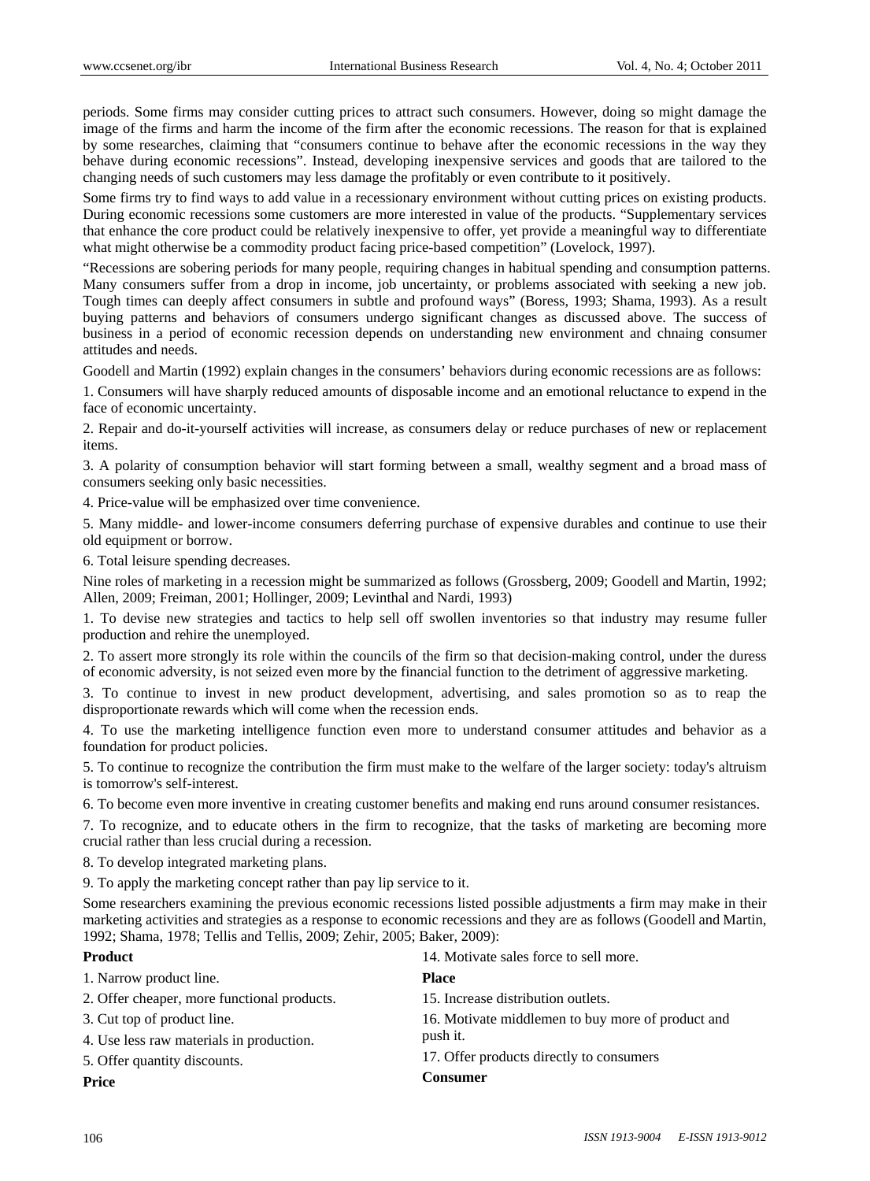periods. Some firms may consider cutting prices to attract such consumers. However, doing so might damage the image of the firms and harm the income of the firm after the economic recessions. The reason for that is explained by some researches, claiming that "consumers continue to behave after the economic recessions in the way they behave during economic recessions". Instead, developing inexpensive services and goods that are tailored to the changing needs of such customers may less damage the profitably or even contribute to it positively.

Some firms try to find ways to add value in a recessionary environment without cutting prices on existing products. During economic recessions some customers are more interested in value of the products. "Supplementary services that enhance the core product could be relatively inexpensive to offer, yet provide a meaningful way to differentiate what might otherwise be a commodity product facing price-based competition" (Lovelock, 1997).

"Recessions are sobering periods for many people, requiring changes in habitual spending and consumption patterns. Many consumers suffer from a drop in income, job uncertainty, or problems associated with seeking a new job. Tough times can deeply affect consumers in subtle and profound ways" (Boress, 1993; Shama, 1993). As a result buying patterns and behaviors of consumers undergo significant changes as discussed above. The success of business in a period of economic recession depends on understanding new environment and chnaing consumer attitudes and needs.

Goodell and Martin (1992) explain changes in the consumers' behaviors during economic recessions are as follows:

1. Consumers will have sharply reduced amounts of disposable income and an emotional reluctance to expend in the face of economic uncertainty.

2. Repair and do-it-yourself activities will increase, as consumers delay or reduce purchases of new or replacement items.

3. A polarity of consumption behavior will start forming between a small, wealthy segment and a broad mass of consumers seeking only basic necessities.

4. Price-value will be emphasized over time convenience.

5. Many middle- and lower-income consumers deferring purchase of expensive durables and continue to use their old equipment or borrow.

6. Total leisure spending decreases.

Nine roles of marketing in a recession might be summarized as follows (Grossberg, 2009; Goodell and Martin, 1992; Allen, 2009; Freiman, 2001; Hollinger, 2009; Levinthal and Nardi, 1993)

1. To devise new strategies and tactics to help sell off swollen inventories so that industry may resume fuller production and rehire the unemployed.

2. To assert more strongly its role within the councils of the firm so that decision-making control, under the duress of economic adversity, is not seized even more by the financial function to the detriment of aggressive marketing.

3. To continue to invest in new product development, advertising, and sales promotion so as to reap the disproportionate rewards which will come when the recession ends.

4. To use the marketing intelligence function even more to understand consumer attitudes and behavior as a foundation for product policies.

5. To continue to recognize the contribution the firm must make to the welfare of the larger society: today's altruism is tomorrow's self-interest.

6. To become even more inventive in creating customer benefits and making end runs around consumer resistances.

7. To recognize, and to educate others in the firm to recognize, that the tasks of marketing are becoming more crucial rather than less crucial during a recession.

8. To develop integrated marketing plans.

9. To apply the marketing concept rather than pay lip service to it.

Some researchers examining the previous economic recessions listed possible adjustments a firm may make in their marketing activities and strategies as a response to economic recessions and they are as follows (Goodell and Martin, 1992; Shama, 1978; Tellis and Tellis, 2009; Zehir, 2005; Baker, 2009):

| <b>Product</b>                              | 14. Motivate sales force to sell more.            |
|---------------------------------------------|---------------------------------------------------|
| 1. Narrow product line.                     | <b>Place</b>                                      |
| 2. Offer cheaper, more functional products. | 15. Increase distribution outlets.                |
| 3. Cut top of product line.                 | 16. Motivate middlemen to buy more of product and |
| 4. Use less raw materials in production.    | push it.                                          |
| 5. Offer quantity discounts.                | 17. Offer products directly to consumers          |
| Price                                       | <b>Consumer</b>                                   |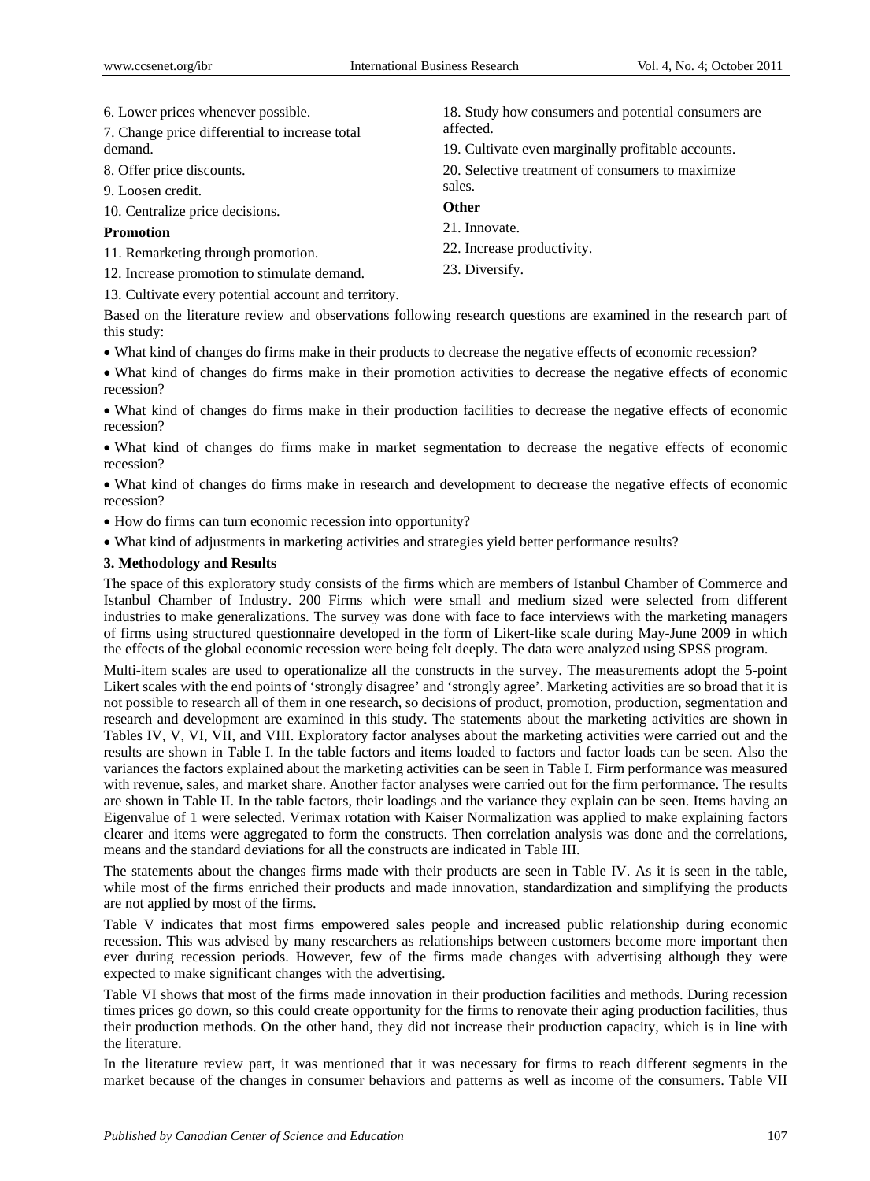6. Lower prices whenever possible.

7. Change price differential to increase total demand.

- 8. Offer price discounts.
- 9. Loosen credit.

10. Centralize price decisions.

#### **Promotion**

11. Remarketing through promotion.

12. Increase promotion to stimulate demand.

13. Cultivate every potential account and territory.

Based on the literature review and observations following research questions are examined in the research part of this study:

23. Diversify.

What kind of changes do firms make in their products to decrease the negative effects of economic recession?

 What kind of changes do firms make in their promotion activities to decrease the negative effects of economic recession?

 What kind of changes do firms make in their production facilities to decrease the negative effects of economic recession?

 What kind of changes do firms make in market segmentation to decrease the negative effects of economic recession?

 What kind of changes do firms make in research and development to decrease the negative effects of economic recession?

- How do firms can turn economic recession into opportunity?
- What kind of adjustments in marketing activities and strategies yield better performance results?

#### **3. Methodology and Results**

The space of this exploratory study consists of the firms which are members of Istanbul Chamber of Commerce and Istanbul Chamber of Industry. 200 Firms which were small and medium sized were selected from different industries to make generalizations. The survey was done with face to face interviews with the marketing managers of firms using structured questionnaire developed in the form of Likert-like scale during May-June 2009 in which the effects of the global economic recession were being felt deeply. The data were analyzed using SPSS program.

Multi-item scales are used to operationalize all the constructs in the survey. The measurements adopt the 5-point Likert scales with the end points of 'strongly disagree' and 'strongly agree'. Marketing activities are so broad that it is not possible to research all of them in one research, so decisions of product, promotion, production, segmentation and research and development are examined in this study. The statements about the marketing activities are shown in Tables IV, V, VI, VII, and VIII. Exploratory factor analyses about the marketing activities were carried out and the results are shown in Table I. In the table factors and items loaded to factors and factor loads can be seen. Also the variances the factors explained about the marketing activities can be seen in Table I. Firm performance was measured with revenue, sales, and market share. Another factor analyses were carried out for the firm performance. The results are shown in Table II. In the table factors, their loadings and the variance they explain can be seen. Items having an Eigenvalue of 1 were selected. Verimax rotation with Kaiser Normalization was applied to make explaining factors clearer and items were aggregated to form the constructs. Then correlation analysis was done and the correlations, means and the standard deviations for all the constructs are indicated in Table III.

The statements about the changes firms made with their products are seen in Table IV. As it is seen in the table, while most of the firms enriched their products and made innovation, standardization and simplifying the products are not applied by most of the firms.

Table V indicates that most firms empowered sales people and increased public relationship during economic recession. This was advised by many researchers as relationships between customers become more important then ever during recession periods. However, few of the firms made changes with advertising although they were expected to make significant changes with the advertising.

Table VI shows that most of the firms made innovation in their production facilities and methods. During recession times prices go down, so this could create opportunity for the firms to renovate their aging production facilities, thus their production methods. On the other hand, they did not increase their production capacity, which is in line with the literature.

In the literature review part, it was mentioned that it was necessary for firms to reach different segments in the market because of the changes in consumer behaviors and patterns as well as income of the consumers. Table VII

18. Study how consumers and potential consumers are affected. 19. Cultivate even marginally profitable accounts. 20. Selective treatment of consumers to maximize sales. **Other**  21. Innovate. 22. Increase productivity.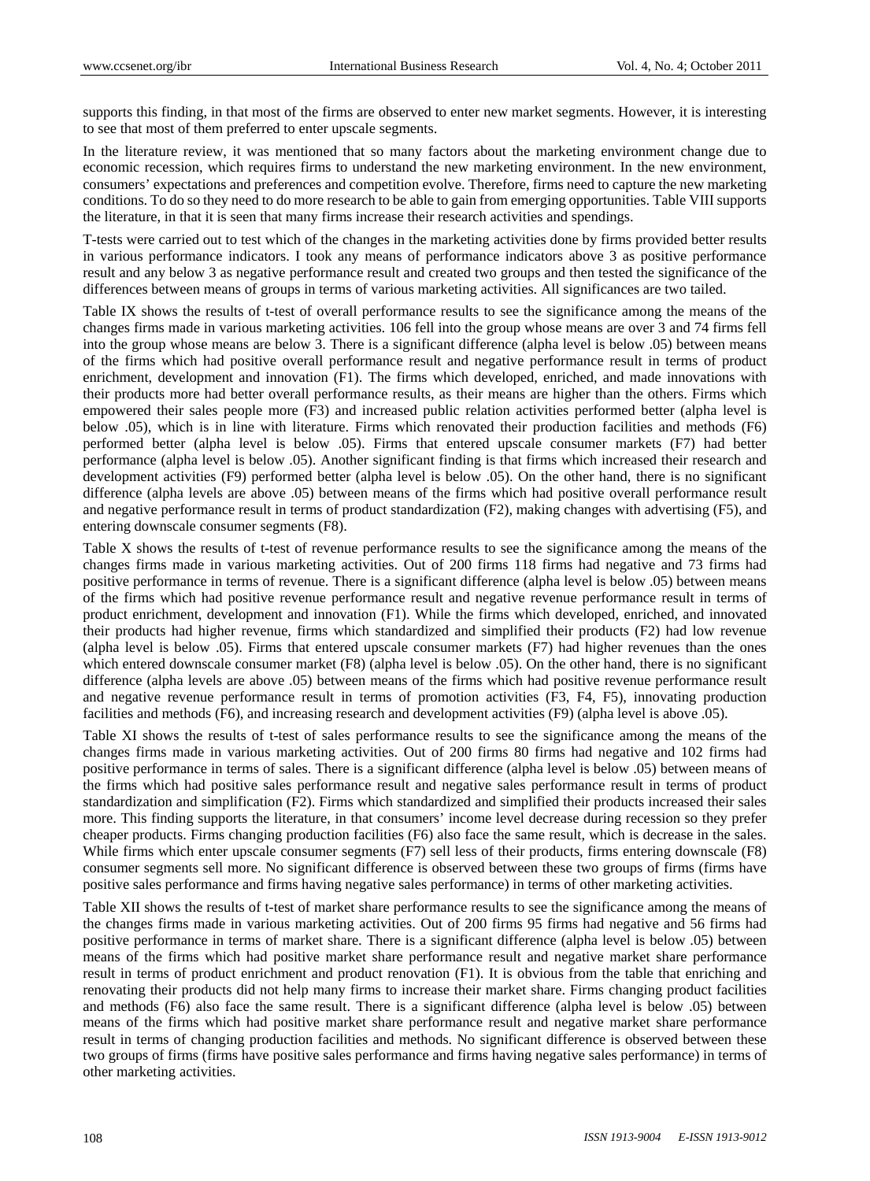supports this finding, in that most of the firms are observed to enter new market segments. However, it is interesting to see that most of them preferred to enter upscale segments.

In the literature review, it was mentioned that so many factors about the marketing environment change due to economic recession, which requires firms to understand the new marketing environment. In the new environment, consumers' expectations and preferences and competition evolve. Therefore, firms need to capture the new marketing conditions. To do so they need to do more research to be able to gain from emerging opportunities. Table VIII supports the literature, in that it is seen that many firms increase their research activities and spendings.

T-tests were carried out to test which of the changes in the marketing activities done by firms provided better results in various performance indicators. I took any means of performance indicators above 3 as positive performance result and any below 3 as negative performance result and created two groups and then tested the significance of the differences between means of groups in terms of various marketing activities. All significances are two tailed.

Table IX shows the results of t-test of overall performance results to see the significance among the means of the changes firms made in various marketing activities. 106 fell into the group whose means are over 3 and 74 firms fell into the group whose means are below 3. There is a significant difference (alpha level is below .05) between means of the firms which had positive overall performance result and negative performance result in terms of product enrichment, development and innovation (F1). The firms which developed, enriched, and made innovations with their products more had better overall performance results, as their means are higher than the others. Firms which empowered their sales people more (F3) and increased public relation activities performed better (alpha level is below .05), which is in line with literature. Firms which renovated their production facilities and methods (F6) performed better (alpha level is below .05). Firms that entered upscale consumer markets (F7) had better performance (alpha level is below .05). Another significant finding is that firms which increased their research and development activities (F9) performed better (alpha level is below .05). On the other hand, there is no significant difference (alpha levels are above .05) between means of the firms which had positive overall performance result and negative performance result in terms of product standardization (F2), making changes with advertising (F5), and entering downscale consumer segments (F8).

Table X shows the results of t-test of revenue performance results to see the significance among the means of the changes firms made in various marketing activities. Out of 200 firms 118 firms had negative and 73 firms had positive performance in terms of revenue. There is a significant difference (alpha level is below .05) between means of the firms which had positive revenue performance result and negative revenue performance result in terms of product enrichment, development and innovation (F1). While the firms which developed, enriched, and innovated their products had higher revenue, firms which standardized and simplified their products (F2) had low revenue (alpha level is below .05). Firms that entered upscale consumer markets (F7) had higher revenues than the ones which entered downscale consumer market (F8) (alpha level is below .05). On the other hand, there is no significant difference (alpha levels are above .05) between means of the firms which had positive revenue performance result and negative revenue performance result in terms of promotion activities (F3, F4, F5), innovating production facilities and methods (F6), and increasing research and development activities (F9) (alpha level is above .05).

Table XI shows the results of t-test of sales performance results to see the significance among the means of the changes firms made in various marketing activities. Out of 200 firms 80 firms had negative and 102 firms had positive performance in terms of sales. There is a significant difference (alpha level is below .05) between means of the firms which had positive sales performance result and negative sales performance result in terms of product standardization and simplification (F2). Firms which standardized and simplified their products increased their sales more. This finding supports the literature, in that consumers' income level decrease during recession so they prefer cheaper products. Firms changing production facilities (F6) also face the same result, which is decrease in the sales. While firms which enter upscale consumer segments (F7) sell less of their products, firms entering downscale (F8) consumer segments sell more. No significant difference is observed between these two groups of firms (firms have positive sales performance and firms having negative sales performance) in terms of other marketing activities.

Table XII shows the results of t-test of market share performance results to see the significance among the means of the changes firms made in various marketing activities. Out of 200 firms 95 firms had negative and 56 firms had positive performance in terms of market share. There is a significant difference (alpha level is below .05) between means of the firms which had positive market share performance result and negative market share performance result in terms of product enrichment and product renovation (F1). It is obvious from the table that enriching and renovating their products did not help many firms to increase their market share. Firms changing product facilities and methods (F6) also face the same result. There is a significant difference (alpha level is below .05) between means of the firms which had positive market share performance result and negative market share performance result in terms of changing production facilities and methods. No significant difference is observed between these two groups of firms (firms have positive sales performance and firms having negative sales performance) in terms of other marketing activities.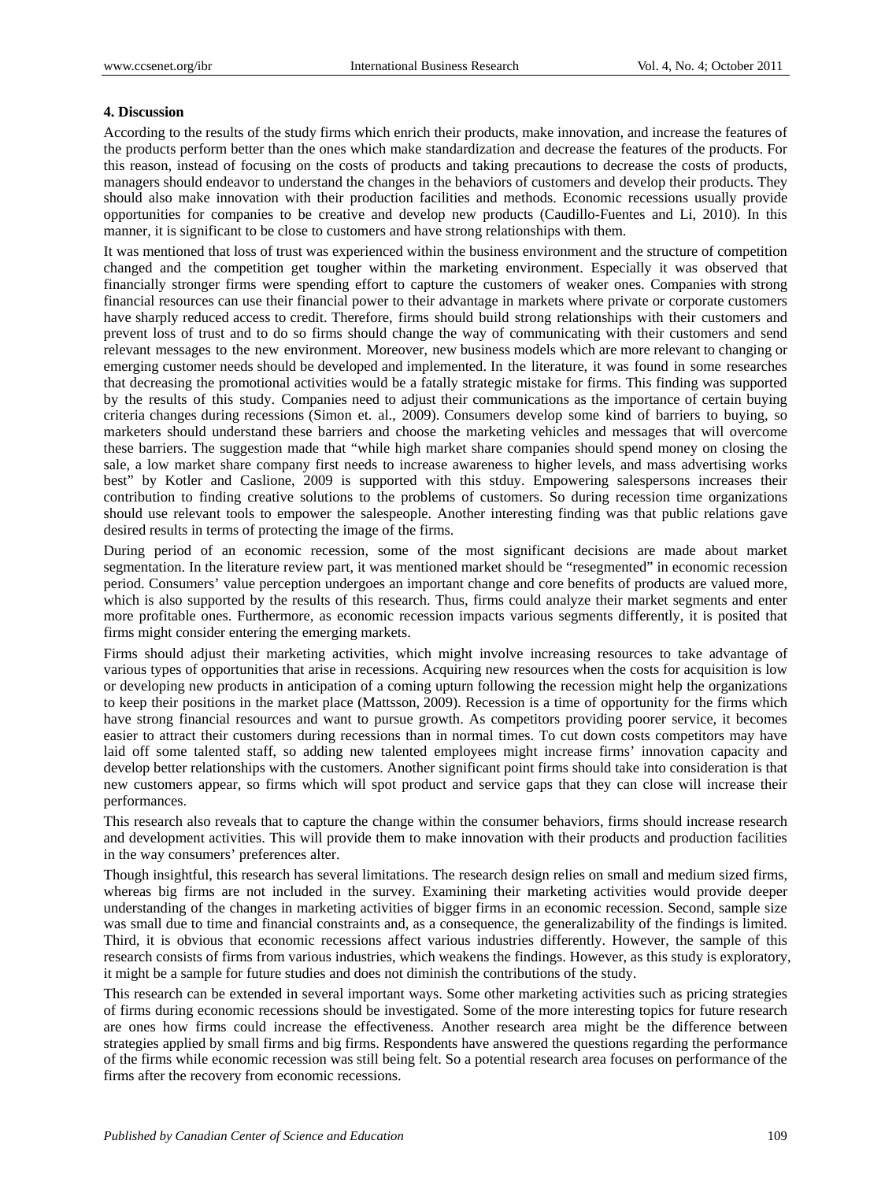#### **4. Discussion**

According to the results of the study firms which enrich their products, make innovation, and increase the features of the products perform better than the ones which make standardization and decrease the features of the products. For this reason, instead of focusing on the costs of products and taking precautions to decrease the costs of products, managers should endeavor to understand the changes in the behaviors of customers and develop their products. They should also make innovation with their production facilities and methods. Economic recessions usually provide opportunities for companies to be creative and develop new products (Caudillo-Fuentes and Li, 2010). In this manner, it is significant to be close to customers and have strong relationships with them.

It was mentioned that loss of trust was experienced within the business environment and the structure of competition changed and the competition get tougher within the marketing environment. Especially it was observed that financially stronger firms were spending effort to capture the customers of weaker ones. Companies with strong financial resources can use their financial power to their advantage in markets where private or corporate customers have sharply reduced access to credit. Therefore, firms should build strong relationships with their customers and prevent loss of trust and to do so firms should change the way of communicating with their customers and send relevant messages to the new environment. Moreover, new business models which are more relevant to changing or emerging customer needs should be developed and implemented. In the literature, it was found in some researches that decreasing the promotional activities would be a fatally strategic mistake for firms. This finding was supported by the results of this study. Companies need to adjust their communications as the importance of certain buying criteria changes during recessions (Simon et. al., 2009). Consumers develop some kind of barriers to buying, so marketers should understand these barriers and choose the marketing vehicles and messages that will overcome these barriers. The suggestion made that "while high market share companies should spend money on closing the sale, a low market share company first needs to increase awareness to higher levels, and mass advertising works best" by Kotler and Caslione, 2009 is supported with this stduy. Empowering salespersons increases their contribution to finding creative solutions to the problems of customers. So during recession time organizations should use relevant tools to empower the salespeople. Another interesting finding was that public relations gave desired results in terms of protecting the image of the firms.

During period of an economic recession, some of the most significant decisions are made about market segmentation. In the literature review part, it was mentioned market should be "resegmented" in economic recession period. Consumers' value perception undergoes an important change and core benefits of products are valued more, which is also supported by the results of this research. Thus, firms could analyze their market segments and enter more profitable ones. Furthermore, as economic recession impacts various segments differently, it is posited that firms might consider entering the emerging markets.

Firms should adjust their marketing activities, which might involve increasing resources to take advantage of various types of opportunities that arise in recessions. Acquiring new resources when the costs for acquisition is low or developing new products in anticipation of a coming upturn following the recession might help the organizations to keep their positions in the market place (Mattsson, 2009). Recession is a time of opportunity for the firms which have strong financial resources and want to pursue growth. As competitors providing poorer service, it becomes easier to attract their customers during recessions than in normal times. To cut down costs competitors may have laid off some talented staff, so adding new talented employees might increase firms' innovation capacity and develop better relationships with the customers. Another significant point firms should take into consideration is that new customers appear, so firms which will spot product and service gaps that they can close will increase their performances.

This research also reveals that to capture the change within the consumer behaviors, firms should increase research and development activities. This will provide them to make innovation with their products and production facilities in the way consumers' preferences alter.

Though insightful, this research has several limitations. The research design relies on small and medium sized firms, whereas big firms are not included in the survey. Examining their marketing activities would provide deeper understanding of the changes in marketing activities of bigger firms in an economic recession. Second, sample size was small due to time and financial constraints and, as a consequence, the generalizability of the findings is limited. Third, it is obvious that economic recessions affect various industries differently. However, the sample of this research consists of firms from various industries, which weakens the findings. However, as this study is exploratory, it might be a sample for future studies and does not diminish the contributions of the study.

This research can be extended in several important ways. Some other marketing activities such as pricing strategies of firms during economic recessions should be investigated. Some of the more interesting topics for future research are ones how firms could increase the effectiveness. Another research area might be the difference between strategies applied by small firms and big firms. Respondents have answered the questions regarding the performance of the firms while economic recession was still being felt. So a potential research area focuses on performance of the firms after the recovery from economic recessions.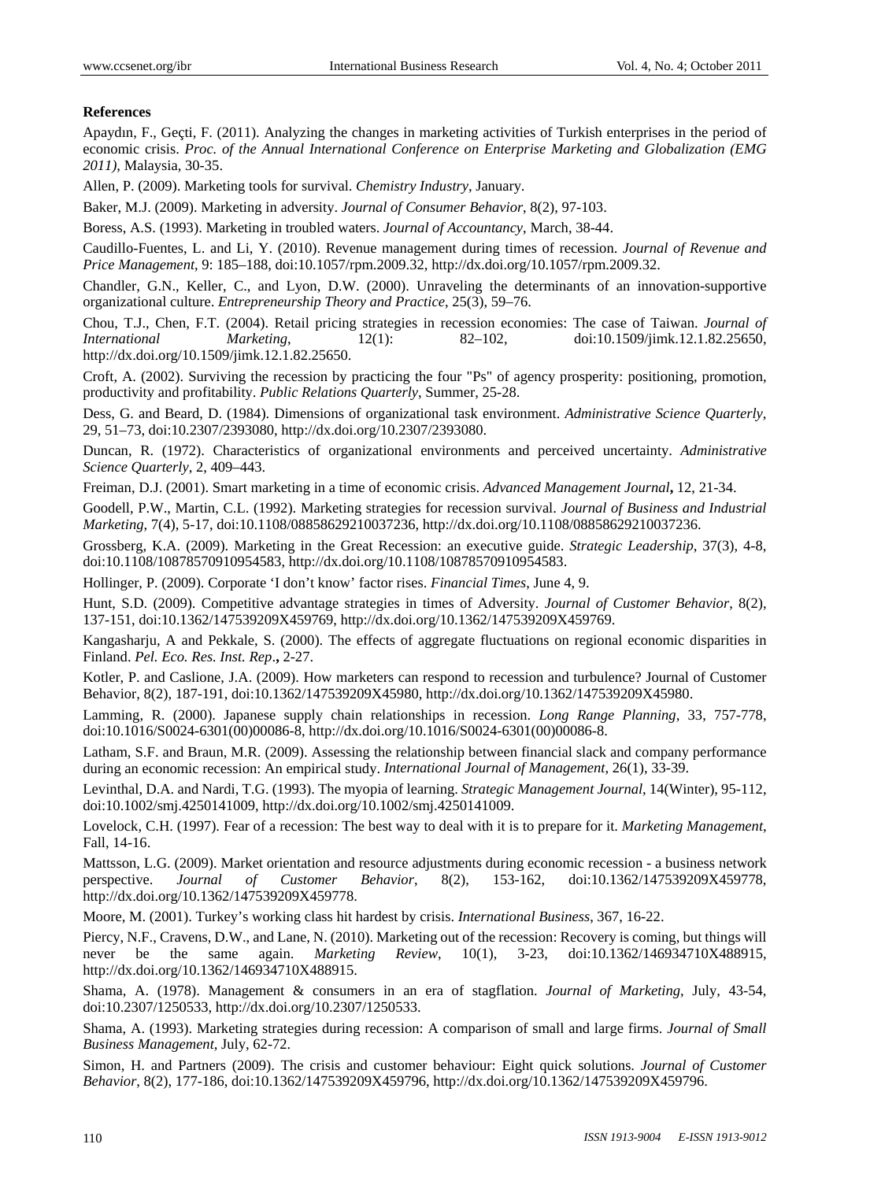#### **References**

Apaydın, F., Geçti, F. (2011). Analyzing the changes in marketing activities of Turkish enterprises in the period of economic crisis. *Proc. of the Annual International Conference on Enterprise Marketing and Globalization (EMG 2011)*, Malaysia, 30-35.

Allen, P. (2009). Marketing tools for survival. *Chemistry Industry*, January.

Baker, M.J. (2009). Marketing in adversity. *Journal of Consumer Behavior*, 8(2), 97-103.

Boress, A.S. (1993). Marketing in troubled waters. *Journal of Accountancy*, March, 38-44.

Caudillo-Fuentes, L. and Li, Y. (2010). Revenue management during times of recession. *Journal of Revenue and Price Management*, 9: 185–188, doi:10.1057/rpm.2009.32, http://dx.doi.org/10.1057/rpm.2009.32.

Chandler, G.N., Keller, C., and Lyon, D.W. (2000). Unraveling the determinants of an innovation-supportive organizational culture. *Entrepreneurship Theory and Practice*, 25(3), 59–76.

Chou, T.J., Chen, F.T. (2004). Retail pricing strategies in recession economies: The case of Taiwan. *Journal of International Marketing*, 12(1): 82–102, doi:10.1509/jimk.12.1.82.25650, http://dx.doi.org/10.1509/jimk.12.1.82.25650.

Croft, A. (2002). Surviving the recession by practicing the four "Ps" of agency prosperity: positioning, promotion, productivity and profitability. *Public Relations Quarterly*, Summer, 25-28.

Dess, G. and Beard, D. (1984). Dimensions of organizational task environment. *Administrative Science Quarterly*, 29, 51–73, doi:10.2307/2393080, http://dx.doi.org/10.2307/2393080.

Duncan, R. (1972). Characteristics of organizational environments and perceived uncertainty. *Administrative Science Quarterly*, 2, 409–443.

Freiman, D.J. (2001). Smart marketing in a time of economic crisis. *Advanced Management Journal***,** 12, 21-34.

Goodell, P.W., Martin, C.L. (1992). Marketing strategies for recession survival. *Journal of Business and Industrial Marketing*, 7(4), 5-17, doi:10.1108/08858629210037236, http://dx.doi.org/10.1108/08858629210037236.

Grossberg, K.A. (2009). Marketing in the Great Recession: an executive guide. *Strategic Leadership*, 37(3), 4-8, doi:10.1108/10878570910954583, http://dx.doi.org/10.1108/10878570910954583.

Hollinger, P. (2009). Corporate 'I don't know' factor rises. *Financial Times*, June 4, 9.

Hunt, S.D. (2009). Competitive advantage strategies in times of Adversity. *Journal of Customer Behavior*, 8(2), 137-151, doi:10.1362/147539209X459769, http://dx.doi.org/10.1362/147539209X459769.

Kangasharju, A and Pekkale, S. (2000). The effects of aggregate fluctuations on regional economic disparities in Finland. *Pel. Eco. Res. Inst. Rep*.**,** 2-27.

Kotler, P. and Caslione, J.A. (2009). How marketers can respond to recession and turbulence? Journal of Customer Behavior, 8(2), 187-191, doi:10.1362/147539209X45980, http://dx.doi.org/10.1362/147539209X45980.

Lamming, R. (2000). Japanese supply chain relationships in recession. *Long Range Planning*, 33, 757-778, doi:10.1016/S0024-6301(00)00086-8, http://dx.doi.org/10.1016/S0024-6301(00)00086-8.

Latham, S.F. and Braun, M.R. (2009). Assessing the relationship between financial slack and company performance during an economic recession: An empirical study. *International Journal of Management*, 26(1), 33-39.

Levinthal, D.A. and Nardi, T.G. (1993). The myopia of learning. *Strategic Management Journal*, 14(Winter), 95-112, doi:10.1002/smj.4250141009, http://dx.doi.org/10.1002/smj.4250141009.

Lovelock, C.H. (1997). Fear of a recession: The best way to deal with it is to prepare for it. *Marketing Management*, Fall, 14-16.

Mattsson, L.G. (2009). Market orientation and resource adjustments during economic recession - a business network perspective. *Journal of Customer Behavior*, 8(2), 153-162, doi:10.1362/147539209X459778, http://dx.doi.org/10.1362/147539209X459778.

Moore, M. (2001). Turkey's working class hit hardest by crisis. *International Business*, 367, 16-22.

Piercy, N.F., Cravens, D.W., and Lane, N. (2010). Marketing out of the recession: Recovery is coming, but things will never be the same again. *Marketing Review*, 10(1), 3-23, doi:10.1362/146934710X488915, http://dx.doi.org/10.1362/146934710X488915.

Shama, A. (1978). Management & consumers in an era of stagflation. *Journal of Marketing*, July, 43-54, doi:10.2307/1250533, http://dx.doi.org/10.2307/1250533.

Shama, A. (1993). Marketing strategies during recession: A comparison of small and large firms. *Journal of Small Business Management*, July, 62-72.

Simon, H. and Partners (2009). The crisis and customer behaviour: Eight quick solutions. *Journal of Customer Behavior*, 8(2), 177-186, doi:10.1362/147539209X459796, http://dx.doi.org/10.1362/147539209X459796.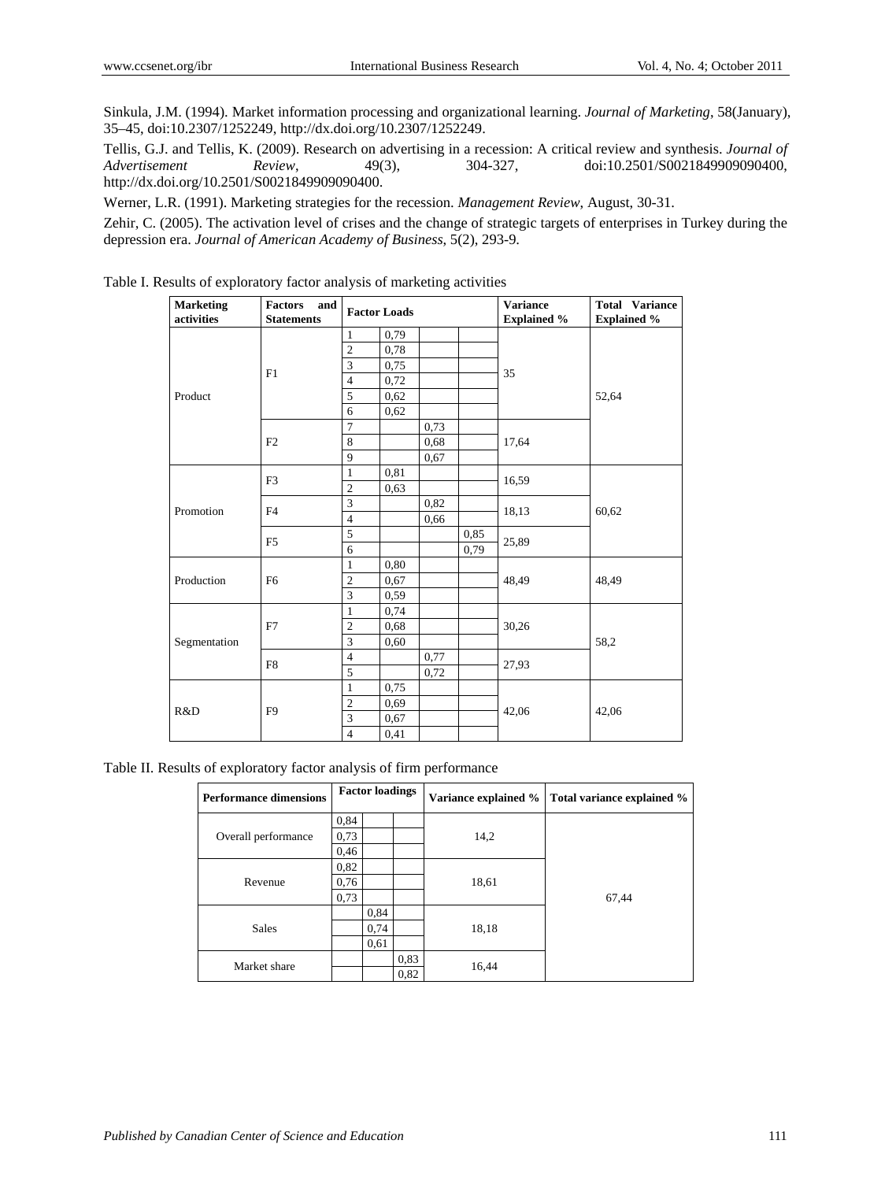Sinkula, J.M. (1994). Market information processing and organizational learning. *Journal of Marketing*, 58(January), 35–45, doi:10.2307/1252249, http://dx.doi.org/10.2307/1252249.

Tellis, G.J. and Tellis, K. (2009). Research on advertising in a recession: A critical review and synthesis. *Journal of Advertisement Review*, 49(3), 304-327, doi:10.2501/S0021849909090400, http://dx.doi.org/10.2501/S0021849909090400.

Werner, L.R. (1991). Marketing strategies for the recession. *Management Review*, August, 30-31.

Zehir, C. (2005). The activation level of crises and the change of strategic targets of enterprises in Turkey during the depression era. *Journal of American Academy of Business*, 5(2), 293-9.

| <b>Marketing</b><br>activities | <b>Factors</b><br>and<br><b>Statements</b> |                | <b>Factor Loads</b> |      |      | <b>Variance</b><br><b>Explained %</b> | <b>Total Variance</b><br><b>Explained %</b> |
|--------------------------------|--------------------------------------------|----------------|---------------------|------|------|---------------------------------------|---------------------------------------------|
|                                |                                            | $\mathbf{1}$   | 0,79                |      |      |                                       |                                             |
|                                |                                            | $\overline{2}$ | 0,78                |      |      |                                       |                                             |
|                                | F1                                         | 3              | 0,75                |      |      | 35                                    |                                             |
|                                |                                            | $\overline{4}$ | 0,72                |      |      |                                       |                                             |
| Product                        |                                            | 5              | 0,62                |      |      |                                       | 52,64                                       |
|                                |                                            | 6              | 0,62                |      |      |                                       |                                             |
|                                |                                            | $\overline{7}$ |                     | 0,73 |      |                                       |                                             |
|                                | F <sub>2</sub>                             | 8              |                     | 0,68 |      | 17,64                                 |                                             |
|                                |                                            | 9              |                     | 0,67 |      |                                       |                                             |
|                                | F <sub>3</sub>                             | $\mathbf{1}$   | 0,81                |      |      | 16,59                                 |                                             |
|                                |                                            | $\overline{2}$ | 0.63                |      |      |                                       |                                             |
| Promotion                      | F <sub>4</sub>                             | 3              |                     | 0,82 |      | 18,13                                 | 60,62                                       |
|                                |                                            | $\overline{4}$ |                     | 0,66 |      |                                       |                                             |
|                                | F <sub>5</sub>                             | $\overline{5}$ |                     |      | 0.85 | 25,89                                 |                                             |
|                                |                                            | 6              |                     |      | 0,79 |                                       |                                             |
|                                |                                            | $\mathbf{1}$   | 0,80                |      |      |                                       |                                             |
| Production                     | F <sub>6</sub>                             | $\overline{2}$ | 0,67                |      |      | 48,49                                 | 48,49                                       |
|                                |                                            | $\overline{3}$ | 0,59                |      |      |                                       |                                             |
|                                |                                            | $\mathbf{1}$   | 0,74                |      |      |                                       |                                             |
|                                | F7                                         | $\overline{2}$ | 0,68                |      |      | 30,26                                 |                                             |
| Segmentation                   |                                            | 3              | 0,60                |      |      |                                       | 58,2                                        |
|                                | F8                                         | $\overline{4}$ |                     | 0,77 |      | 27,93                                 |                                             |
| R&D                            |                                            | 5              |                     | 0,72 |      |                                       |                                             |
|                                |                                            | $\mathbf{1}$   | 0,75                |      |      |                                       |                                             |
|                                |                                            | $\overline{2}$ | 0,69                |      |      | 42,06                                 | 42,06                                       |
|                                | F <sub>9</sub>                             | 3              | 0,67                |      |      |                                       |                                             |
|                                |                                            | $\overline{4}$ | 0,41                |      |      |                                       |                                             |

Table I. Results of exploratory factor analysis of marketing activities

Table II. Results of exploratory factor analysis of firm performance

| <b>Performance dimensions</b> |      | <b>Factor loadings</b> |      | Variance explained % | Total variance explained % |
|-------------------------------|------|------------------------|------|----------------------|----------------------------|
|                               | 0,84 |                        |      |                      |                            |
| Overall performance           | 0,73 |                        |      | 14,2                 |                            |
|                               | 0,46 |                        |      |                      |                            |
|                               | 0,82 |                        |      |                      |                            |
| Revenue                       | 0,76 |                        |      | 18,61                |                            |
|                               | 0,73 |                        |      |                      | 67,44                      |
|                               |      | 0,84                   |      |                      |                            |
| <b>Sales</b>                  |      | 0,74                   |      | 18,18                |                            |
|                               |      | 0.61                   |      |                      |                            |
| Market share                  |      |                        | 0,83 | 16,44                |                            |
|                               |      |                        | 0,82 |                      |                            |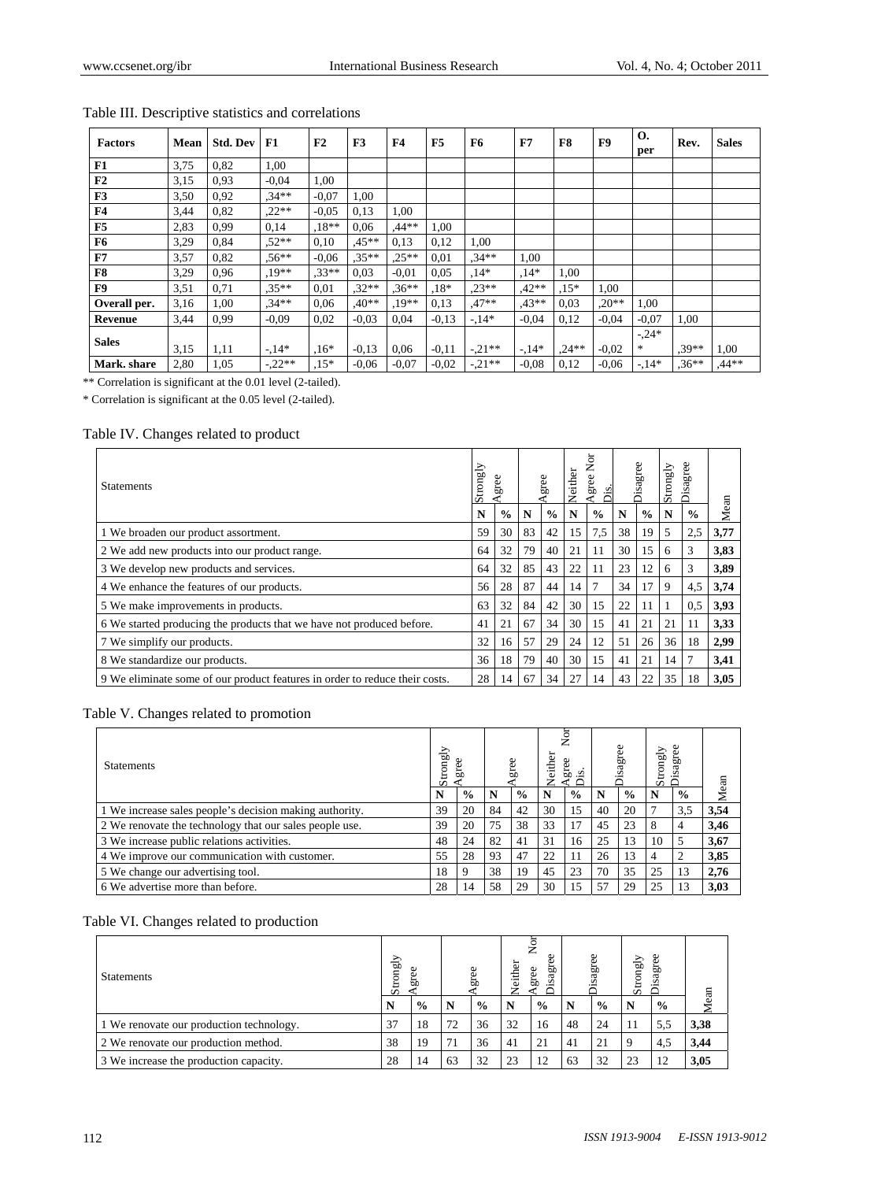| <b>Factors</b> | Mean | <b>Std. Dev</b> | F1       | F <sub>2</sub> | F3      | F <sub>4</sub> | F <sub>5</sub> | F6       | F7      | F8      | F9       | О.<br>per      | Rev.     | <b>Sales</b> |
|----------------|------|-----------------|----------|----------------|---------|----------------|----------------|----------|---------|---------|----------|----------------|----------|--------------|
| F1             | 3.75 | 0,82            | 1,00     |                |         |                |                |          |         |         |          |                |          |              |
| F2             | 3,15 | 0.93            | $-0.04$  | 1,00           |         |                |                |          |         |         |          |                |          |              |
| F3             | 3,50 | 0.92            | $.34**$  | $-0.07$        | 1,00    |                |                |          |         |         |          |                |          |              |
| F <sub>4</sub> | 3,44 | 0.82            | $,22**$  | $-0.05$        | 0.13    | 1.00           |                |          |         |         |          |                |          |              |
| F5             | 2,83 | 0.99            | 0,14     | $.18**$        | 0.06    | $.44**$        | 1,00           |          |         |         |          |                |          |              |
| F <sub>6</sub> | 3,29 | 0.84            | $.52**$  | 0,10           | $.45**$ | 0,13           | 0.12           | 1,00     |         |         |          |                |          |              |
| F7             | 3,57 | 0.82            | $.56***$ | $-0.06$        | $.35**$ | $.25**$        | 0,01           | $.34**$  | 1,00    |         |          |                |          |              |
| F8             | 3,29 | 0,96            | $.19**$  | $.33**$        | 0.03    | $-0.01$        | 0.05           | $.14*$   | $.14*$  | 00.1    |          |                |          |              |
| F <sub>9</sub> | 3,51 | 0,71            | $.35**$  | 0,01           | $.32**$ | $.36**$        | $.18*$         | $.23**$  | $.42**$ | $.15*$  | 1.00     |                |          |              |
| Overall per.   | 3,16 | 1,00            | $.34**$  | 0,06           | $.40**$ | $.19**$        | 0.13           | $.47**$  | $.43**$ | 0.03    | $0^{**}$ | 1,00           |          |              |
| Revenue        | 3,44 | 0.99            | $-0.09$  | 0,02           | $-0.03$ | 0,04           | $-0.13$        | $-14*$   | $-0.04$ | 0,12    | $-0.04$  | $-0.07$        | 1,00     |              |
| <b>Sales</b>   | 3,15 | 1,11            | $-14*$   | $.16*$         | $-0.13$ | 0,06           | $-0,11$        | $-.21**$ | $-14*$  | $.24**$ | $-0.02$  | $-.24*$<br>$*$ | $.39**$  | 1,00         |
| Mark. share    | 2,80 | 1,05            | $-.22**$ | $.15*$         | $-0.06$ | $-0.07$        | $-0.02$        | $-.21**$ | $-0.08$ | 0,12    | $-0.06$  | $-14*$         | $.36***$ | $.44**$      |

## Table III. Descriptive statistics and correlations

\*\* Correlation is significant at the 0.01 level (2-tailed).

\* Correlation is significant at the 0.05 level (2-tailed).

#### Table IV. Changes related to product

| <b>Statements</b>                                                           | Strongly | 8<br>ద్       |    | gree          | Neither | ă<br>gree<br>Σś. |    | Φ<br>g<br>isag | Strongly | ree<br>Disagn |      |
|-----------------------------------------------------------------------------|----------|---------------|----|---------------|---------|------------------|----|----------------|----------|---------------|------|
|                                                                             | N        | $\frac{6}{9}$ | N  | $\frac{0}{0}$ | N       | $\frac{0}{0}$    | N  | $\frac{6}{6}$  | N        | $\frac{0}{0}$ | Mean |
| 1 We broaden our product assortment.                                        | 59       | 30            | 83 | 42            | 15      | 7,5              | 38 | 19             | 5        | 2.5           | 3,77 |
| 2 We add new products into our product range.                               | 64       | 32            | 79 | 40            | 21      | 11               | 30 | 15             | 6        | 3             | 3,83 |
| 3 We develop new products and services.                                     | 64       | 32            | 85 | 43            | 22      | 11               | 23 | 12             | 6        | 3             | 3,89 |
| 4 We enhance the features of our products.                                  | 56       | 28            | 87 | 44            | 14      | 7                | 34 | 17             | 9        | 4,5           | 3,74 |
| 5 We make improvements in products.                                         | 63       | 32            | 84 | 42            | 30      | 15               | 22 | 11             |          | 0.5           | 3,93 |
| 6 We started producing the products that we have not produced before.       | 41       | 21            | 67 | 34            | 30      | 15               | 41 | 21             | 21       | 11            | 3,33 |
| 7 We simplify our products.                                                 | 32       | 16            | 57 | 29            | 24      | 12               | 51 | 26             | 36       | 18            | 2,99 |
| 8 We standardize our products.                                              | 36       | 18            | 79 | 40            | 30      | 15               | 41 | 21             | 14       |               | 3,41 |
| 9 We eliminate some of our product features in order to reduce their costs. | 28       | 14            | 67 | 34            | 27      | 14               | 43 | 22             | 35       | 18            | 3,05 |

#### Table V. Changes related to promotion

| <b>Statements</b>                                       | Strongly | gre           |    |               | ఠ<br>Veith | Nor<br>gree   |    | sagree        | Strongly | 8<br>sagr     |      |
|---------------------------------------------------------|----------|---------------|----|---------------|------------|---------------|----|---------------|----------|---------------|------|
|                                                         |          | $\frac{0}{0}$ | N  | $\frac{6}{9}$ | N          | $\frac{0}{0}$ |    | $\frac{6}{9}$ |          | $\frac{6}{6}$ | Mean |
| 1 We increase sales people's decision making authority. | 39       | 20            | 84 | 42            | 30         | 15            | 40 | 20            |          | 3,5           | 3,54 |
| 2 We renovate the technology that our sales people use. | 39       | 20            | 75 | 38            | 33         | 17            | 45 | 23            | 8        | 4             | 3,46 |
| 3 We increase public relations activities.              | 48       | 24            | 82 | 41            | 31         | 16            | 25 | 13            | 10       | 5             | 3,67 |
| 4 We improve our communication with customer.           | 55       | 28            | 93 | 47            | 22         | 11            | 26 | 13            | 4        | 2             | 3,85 |
| 5 We change our advertising tool.                       | 18       | 9             | 38 | 19            | 45         | 23            | 70 | 35            | 25       | 13            | 2,76 |
| 6 We advertise more than before.                        | 28       | 14            | 58 | 29            | 30         | 15            | 57 | 29            | 25       | 13            | 3.03 |

#### Table VI. Changes related to production

| <b>Statements</b>                        |    | ⋋<br>Strongly<br>gree |    | ω<br>grei     |    | ş<br>either<br>ದ<br>g<br>ದ<br>s<br>ー |    | <b>Disagree</b> | sagree<br>Strongly |               | ean  |
|------------------------------------------|----|-----------------------|----|---------------|----|--------------------------------------|----|-----------------|--------------------|---------------|------|
|                                          | N  | $\frac{0}{0}$         |    | $\frac{0}{0}$ |    | $\frac{0}{0}$                        | N  | $\frac{0}{0}$   |                    | $\frac{0}{0}$ |      |
| 1 We renovate our production technology. | 37 | 18                    | 72 | 36            | 32 | 16                                   | 48 | 24              | 11                 |               | 3,38 |
| 2 We renovate our production method.     | 38 | 19                    | 71 | 36            | 41 | 21                                   | 41 | 21              |                    | 4.            | 3,44 |
| 3 We increase the production capacity.   | 28 | 14                    | 63 | 32            | 23 | 12                                   | 63 | 32              | 23                 |               | 3,05 |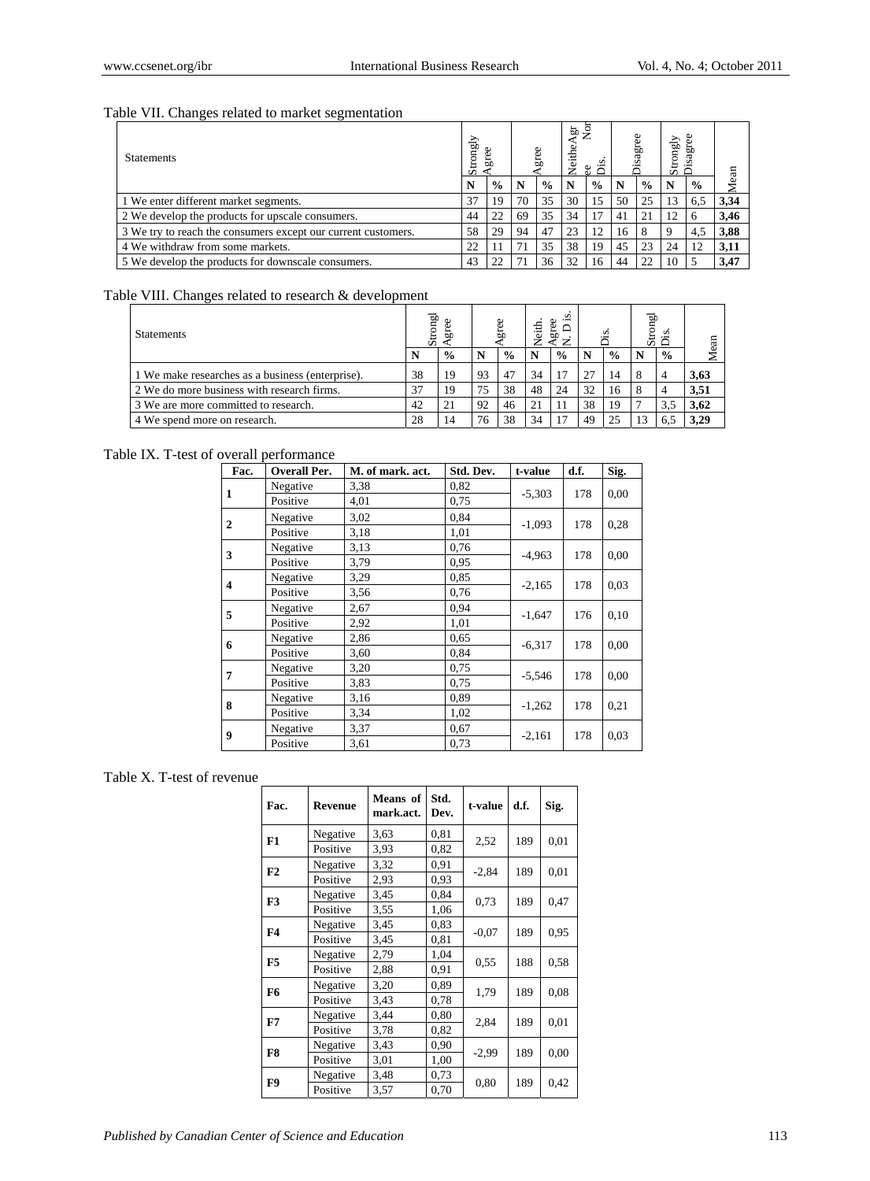## Table VII. Changes related to market segmentation

| <b>Statements</b>                                             | Strongly |               |    |               |    | قع<br>S<br>8 G | sagr |               | Strongly<br>sagree |               |      |
|---------------------------------------------------------------|----------|---------------|----|---------------|----|----------------|------|---------------|--------------------|---------------|------|
|                                                               |          | $\frac{0}{0}$ | N  | $\frac{0}{0}$ | N  | $\frac{0}{0}$  | N    | $\frac{0}{0}$ |                    | $\frac{0}{0}$ | Mean |
| 1 We enter different market segments.                         | 37       | 19            | 70 | 35            | 30 | 15             | 50   | 25            | 13                 | 6.5           | 3,34 |
| 2 We develop the products for upscale consumers.              | 44       | 22            | 69 | 35            | 34 |                | 41   | 21            | 12                 | 6             | 3,46 |
| 3 We try to reach the consumers except our current customers. | 58       | 29            | 94 | 47            | 23 | 12             | 16   | 8             |                    | 4,5           | 3,88 |
| 4 We withdraw from some markets.                              | 22       |               |    | 35            | 38 | 19             | 45   | 23            | 24                 | 12            | 3,11 |
| 5 We develop the products for downscale consumers.            | 43       |               |    | 36            | 32 | 16             | 44   | 22            | 10                 |               | 3,47 |

#### Table VIII. Changes related to research & development

| <b>Statements</b>                                |    | Igno:<br>5b<br>55 |    | gree          |    | <br>Φ<br>$\frac{1}{2}$<br>gre |    |               |  | āρ<br>s<br>ŏ  |      |
|--------------------------------------------------|----|-------------------|----|---------------|----|-------------------------------|----|---------------|--|---------------|------|
|                                                  |    | $\frac{6}{9}$     | N  | $\frac{6}{6}$ |    | $\frac{0}{0}$                 |    | $\frac{0}{0}$ |  | $\frac{6}{6}$ |      |
| 1 We make researches as a business (enterprise). | 38 | 19                | 93 | 47            | 34 | 17                            | 27 | 14            |  |               | 3,63 |
| 2 We do more business with research firms.       | 37 | 19                | 75 | 38            | 48 | 24                            | 32 | 16            |  |               | 3.51 |
| 3 We are more committed to research.             | 42 | 21                | 92 | 46            | 21 | 11                            | 38 | 19            |  |               | 3,62 |
| 4 We spend more on research.                     | 28 | 14                | 76 | 38            | 34 | 17                            | 49 |               |  |               | 3.29 |

## Table IX. T-test of overall performance

| Fac.           | <b>Overall Per.</b> | M. of mark. act. | Std. Dev. | t-value  | d.f. | Sig. |
|----------------|---------------------|------------------|-----------|----------|------|------|
| 1              | Negative            | 3,38             | 0,82      | $-5,303$ | 178  | 0.00 |
|                | Positive            | 4,01             | 0,75      |          |      |      |
| $\overline{2}$ | Negative            | 3,02             | 0.84      | $-1,093$ | 178  | 0.28 |
|                | Positive            | 3,18             | 1,01      |          |      |      |
| 3              | Negative            | 3,13             | 0,76      | $-4,963$ | 178  | 0.00 |
|                | Positive            | 3,79             | 0.95      |          |      |      |
| 4              | Negative            | 3,29             | 0.85      | $-2,165$ | 178  | 0.03 |
|                | Positive            | 3,56             | 0,76      |          |      |      |
| 5              | Negative            | 2,67             | 0,94      | $-1,647$ | 176  | 0.10 |
|                | Positive            | 2,92             | 1,01      |          |      |      |
| 6              | Negative            | 2,86             | 0.65      | $-6,317$ | 178  | 0.00 |
|                | Positive            | 3,60             | 0.84      |          |      |      |
| 7              | Negative            | 3,20             | 0.75      | $-5,546$ | 178  | 0.00 |
|                | Positive            | 3,83             | 0.75      |          |      |      |
| 8              | Negative            | 3,16             | 0.89      | $-1,262$ | 178  | 0,21 |
|                | Positive            | 3,34             | 1,02      |          |      |      |
| 9              | Negative            | 3,37             | 0.67      | $-2,161$ | 178  | 0.03 |
|                | Positive            | 3,61             | 0,73      |          |      |      |

## Table X. T-test of revenue

| Fac.           | Revenue  | Means of<br>mark.act. | Std.<br>Dev. | t-value | d.f. | Sig. |
|----------------|----------|-----------------------|--------------|---------|------|------|
| F1             | Negative | 3,63                  | 0.81         | 2,52    | 189  | 0,01 |
|                | Positive | 3,93                  | 0,82         |         |      |      |
|                | Negative | 3,32                  | 0,91         |         |      |      |
| F2             | Positive | 2,93                  | 0.93         | $-2,84$ | 189  | 0,01 |
| F3             | Negative | 3,45                  | 0,84         | 0.73    | 189  | 0.47 |
|                | Positive | 3,55                  | 1,06         |         |      |      |
| F <sub>4</sub> | Negative | 3,45                  | 0,83         |         |      |      |
|                | Positive | 3,45                  | 0,81         | $-0,07$ | 189  | 0.95 |
| F5             | Negative | 2,79                  | 1,04         |         |      |      |
|                | Positive | 2,88                  | 0,91         | 0,55    | 188  | 0,58 |
| F6             | Negative | 3,20                  | 0.89         |         | 189  |      |
|                | Positive | 3,43                  | 0.78         | 1,79    |      | 0.08 |
| F7             | Negative | 3,44                  | 0,80         |         | 189  |      |
|                | Positive | 3,78                  | 0,82         | 2,84    |      | 0.01 |
|                | Negative | 3,43                  | 0,90         |         |      |      |
| F8             | Positive | 3,01                  | 1,00         | $-2,99$ | 189  | 0,00 |
|                | Negative | 3,48                  | 0.73         |         |      |      |
| F9             | Positive | 3,57                  | 0.70         | 0,80    | 189  | 0,42 |